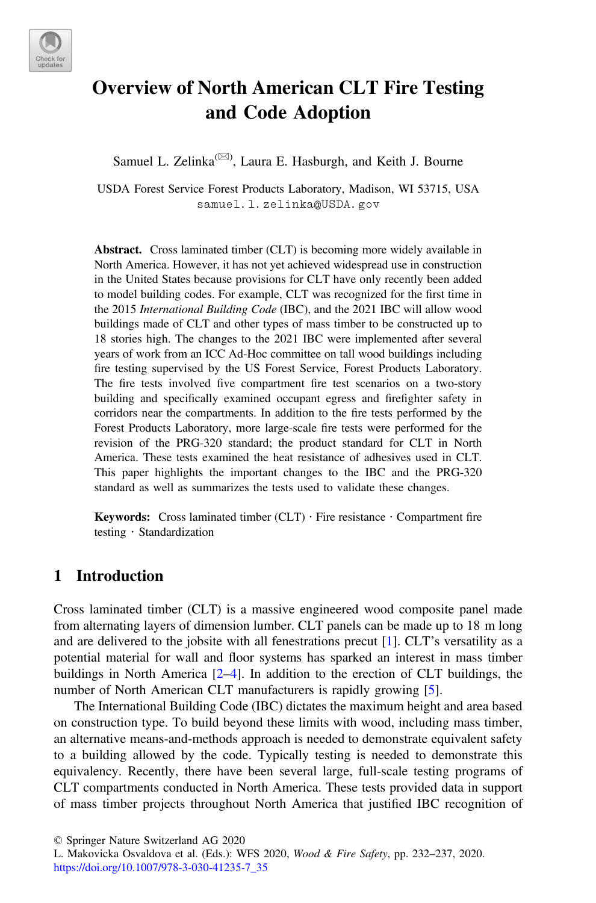

# Overview of North American CLT Fire Testing and Code Adoption

Samuel L. Zelinka<sup>( $\boxtimes$ )</sup>, Laura E. Hasburgh, and Keith J. Bourne

USDA Forest Service Forest Products Laboratory, Madison, WI 53715, USA [samuel.l.zelinka@USDA.gov](mailto:samuel.l.zelinka@USDA.gov)

Abstract. Cross laminated timber (CLT) is becoming more widely available in North America. However, it has not yet achieved widespread use in construction in the United States because provisions for CLT have only recently been added to model building codes. For example, CLT was recognized for the first time in the 2015 International Building Code (IBC), and the 2021 IBC will allow wood buildings made of CLT and other types of mass timber to be constructed up to 18 stories high. The changes to the 2021 IBC were implemented after several years of work from an ICC Ad-Hoc committee on tall wood buildings including fire testing supervised by the US Forest Service, Forest Products Laboratory. The fire tests involved five compartment fire test scenarios on a two-story building and specifically examined occupant egress and firefighter safety in corridors near the compartments. In addition to the fire tests performed by the Forest Products Laboratory, more large-scale fire tests were performed for the revision of the PRG-320 standard; the product standard for CLT in North America. These tests examined the heat resistance of adhesives used in CLT. This paper highlights the important changes to the IBC and the PRG-320 standard as well as summarizes the tests used to validate these changes.

**Keywords:** Cross laminated timber  $CLT$   $\cdot$  Fire resistance  $\cdot$  Compartment fire testing · Standardization

## 1 Introduction

Cross laminated timber (CLT) is a massive engineered wood composite panel made from alternating layers of dimension lumber. CLT panels can be made up to 18 m long and are delivered to the jobsite with all fenestrations precut [[1\]](#page-5-0). CLT's versatility as a potential material for wall and floor systems has sparked an interest in mass timber buildings in North America [[2](#page-5-0)–[4\]](#page-5-0). In addition to the erection of CLT buildings, the number of North American CLT manufacturers is rapidly growing [[5\]](#page-5-0).

The International Building Code (IBC) dictates the maximum height and area based on construction type. To build beyond these limits with wood, including mass timber, an alternative means-and-methods approach is needed to demonstrate equivalent safety to a building allowed by the code. Typically testing is needed to demonstrate this equivalency. Recently, there have been several large, full-scale testing programs of CLT compartments conducted in North America. These tests provided data in support of mass timber projects throughout North America that justified IBC recognition of

© Springer Nature Switzerland AG 2020

L. Makovicka Osvaldova et al. (Eds.): WFS 2020, Wood & Fire Safety, pp. 232–237, 2020. [https://doi.org/10.1007/978-3-030-41235-7\\_35](https://doi.org/10.1007/978-3-030-41235-7_35)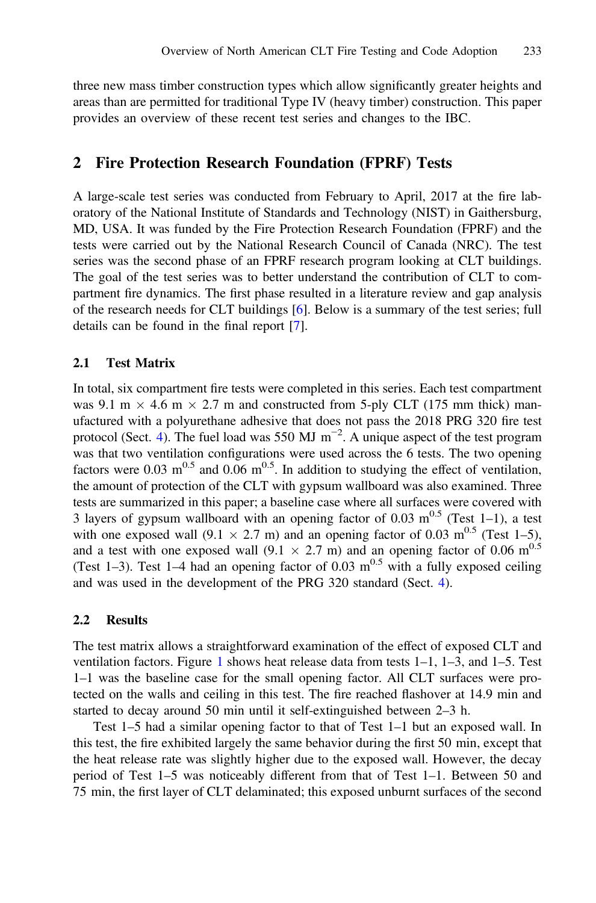three new mass timber construction types which allow significantly greater heights and areas than are permitted for traditional Type IV (heavy timber) construction. This paper provides an overview of these recent test series and changes to the IBC.

### 2 Fire Protection Research Foundation (FPRF) Tests

A large-scale test series was conducted from February to April, 2017 at the fire laboratory of the National Institute of Standards and Technology (NIST) in Gaithersburg, MD, USA. It was funded by the Fire Protection Research Foundation (FPRF) and the tests were carried out by the National Research Council of Canada (NRC). The test series was the second phase of an FPRF research program looking at CLT buildings. The goal of the test series was to better understand the contribution of CLT to compartment fire dynamics. The first phase resulted in a literature review and gap analysis of the research needs for CLT buildings [[6\]](#page-5-0). Below is a summary of the test series; full details can be found in the final report [\[7](#page-5-0)].

#### 2.1 Test Matrix

In total, six compartment fire tests were completed in this series. Each test compartment was 9.1 m  $\times$  4.6 m  $\times$  2.7 m and constructed from 5-ply CLT (175 mm thick) manufactured with a polyurethane adhesive that does not pass the 2018 PRG 320 fire test protocol (Sect. [4](#page-3-0)). The fuel load was 550 MJ  $m^{-2}$ . A unique aspect of the test program was that two ventilation configurations were used across the 6 tests. The two opening factors were 0.03 m<sup>0.5</sup> and 0.06 m<sup>0.5</sup>. In addition to studying the effect of ventilation, the amount of protection of the CLT with gypsum wallboard was also examined. Three tests are summarized in this paper; a baseline case where all surfaces were covered with 3 layers of gypsum wallboard with an opening factor of 0.03  $m^{0.5}$  (Test 1–1), a test with one exposed wall (9.1  $\times$  2.7 m) and an opening factor of 0.03 m<sup>0.5</sup> (Test 1–5), and a test with one exposed wall (9.1  $\times$  2.7 m) and an opening factor of 0.06 m<sup>0.5</sup> (Test 1–3). Test 1–4 had an opening factor of 0.03 m<sup>0.5</sup> with a fully exposed ceiling and was used in the development of the PRG 320 standard (Sect. [4](#page-3-0)).

#### 2.2 Results

The test matrix allows a straightforward examination of the effect of exposed CLT and ventilation factors. Figure [1](#page-2-0) shows heat release data from tests  $1-1$ ,  $1-3$ , and  $1-5$ . Test 1–1 was the baseline case for the small opening factor. All CLT surfaces were protected on the walls and ceiling in this test. The fire reached flashover at 14.9 min and started to decay around 50 min until it self-extinguished between 2–3 h.

Test 1–5 had a similar opening factor to that of Test 1–1 but an exposed wall. In this test, the fire exhibited largely the same behavior during the first 50 min, except that the heat release rate was slightly higher due to the exposed wall. However, the decay period of Test 1–5 was noticeably different from that of Test 1–1. Between 50 and 75 min, the first layer of CLT delaminated; this exposed unburnt surfaces of the second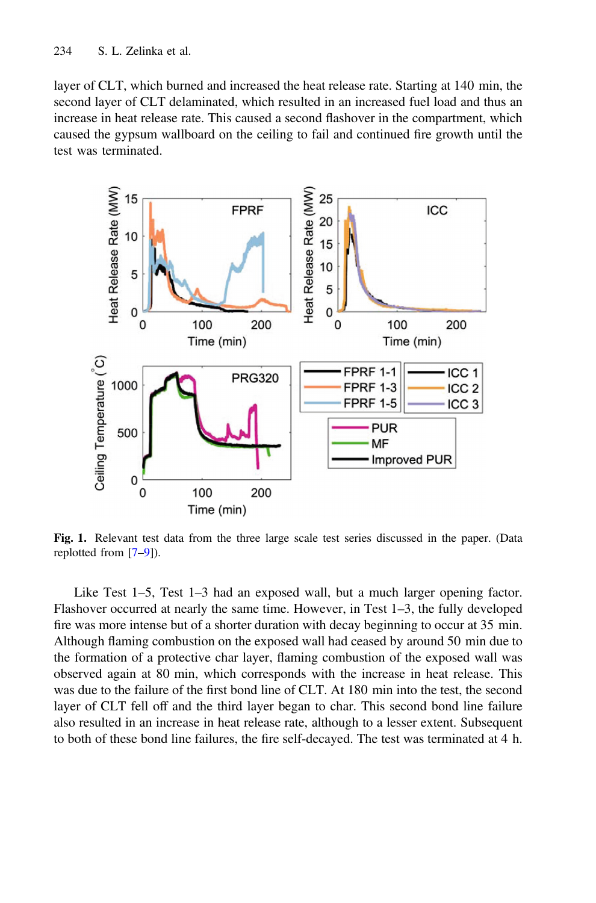<span id="page-2-0"></span>layer of CLT, which burned and increased the heat release rate. Starting at 140 min, the second layer of CLT delaminated, which resulted in an increased fuel load and thus an increase in heat release rate. This caused a second flashover in the compartment, which caused the gypsum wallboard on the ceiling to fail and continued fire growth until the test was terminated.



Fig. 1. Relevant test data from the three large scale test series discussed in the paper. (Data replotted from [\[7](#page-5-0)–[9\]](#page-5-0)).

Like Test 1–5, Test 1–3 had an exposed wall, but a much larger opening factor. Flashover occurred at nearly the same time. However, in Test 1–3, the fully developed fire was more intense but of a shorter duration with decay beginning to occur at 35 min. Although flaming combustion on the exposed wall had ceased by around 50 min due to the formation of a protective char layer, flaming combustion of the exposed wall was observed again at 80 min, which corresponds with the increase in heat release. This was due to the failure of the first bond line of CLT. At 180 min into the test, the second layer of CLT fell off and the third layer began to char. This second bond line failure also resulted in an increase in heat release rate, although to a lesser extent. Subsequent to both of these bond line failures, the fire self-decayed. The test was terminated at 4 h.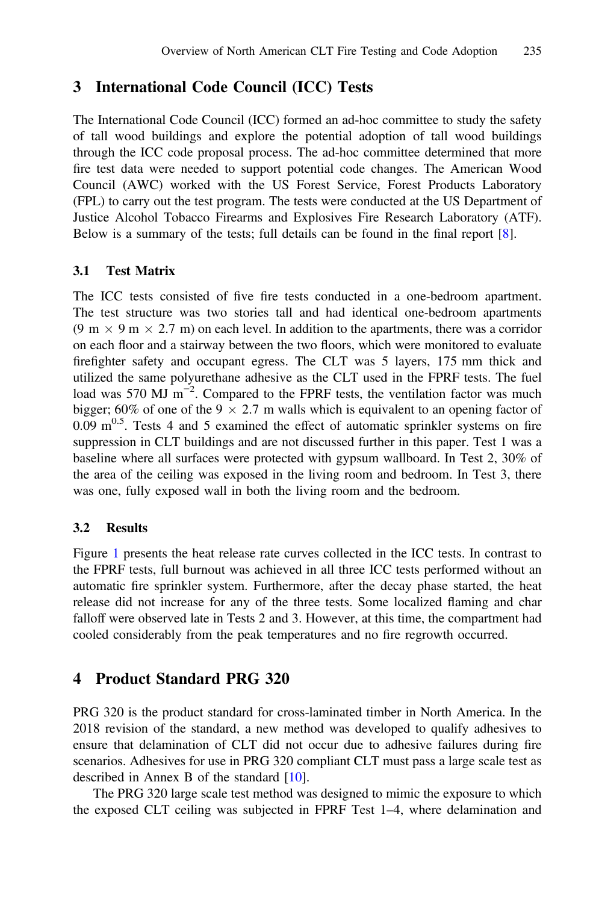## <span id="page-3-0"></span>3 International Code Council (ICC) Tests

The International Code Council (ICC) formed an ad-hoc committee to study the safety of tall wood buildings and explore the potential adoption of tall wood buildings through the ICC code proposal process. The ad-hoc committee determined that more fire test data were needed to support potential code changes. The American Wood Council (AWC) worked with the US Forest Service, Forest Products Laboratory (FPL) to carry out the test program. The tests were conducted at the US Department of Justice Alcohol Tobacco Firearms and Explosives Fire Research Laboratory (ATF). Below is a summary of the tests; full details can be found in the final report [[8\]](#page-5-0).

#### 3.1 Test Matrix

The ICC tests consisted of five fire tests conducted in a one-bedroom apartment. The test structure was two stories tall and had identical one-bedroom apartments  $(9 \text{ m} \times 9 \text{ m} \times 2.7 \text{ m})$  on each level. In addition to the apartments, there was a corridor on each floor and a stairway between the two floors, which were monitored to evaluate firefighter safety and occupant egress. The CLT was 5 layers, 175 mm thick and utilized the same polyurethane adhesive as the CLT used in the FPRF tests. The fuel load was 570 MJ  $m^{-2}$ . Compared to the FPRF tests, the ventilation factor was much bigger; 60% of one of the 9  $\times$  2.7 m walls which is equivalent to an opening factor of 0.09  $m^{0.5}$ . Tests 4 and 5 examined the effect of automatic sprinkler systems on fire suppression in CLT buildings and are not discussed further in this paper. Test 1 was a baseline where all surfaces were protected with gypsum wallboard. In Test 2, 30% of the area of the ceiling was exposed in the living room and bedroom. In Test 3, there was one, fully exposed wall in both the living room and the bedroom.

#### 3.2 Results

Figure [1](#page-2-0) presents the heat release rate curves collected in the ICC tests. In contrast to the FPRF tests, full burnout was achieved in all three ICC tests performed without an automatic fire sprinkler system. Furthermore, after the decay phase started, the heat release did not increase for any of the three tests. Some localized flaming and char falloff were observed late in Tests 2 and 3. However, at this time, the compartment had cooled considerably from the peak temperatures and no fire regrowth occurred.

## 4 Product Standard PRG 320

PRG 320 is the product standard for cross-laminated timber in North America. In the 2018 revision of the standard, a new method was developed to qualify adhesives to ensure that delamination of CLT did not occur due to adhesive failures during fire scenarios. Adhesives for use in PRG 320 compliant CLT must pass a large scale test as described in Annex B of the standard [[10\]](#page-5-0).

The PRG 320 large scale test method was designed to mimic the exposure to which the exposed CLT ceiling was subjected in FPRF Test 1–4, where delamination and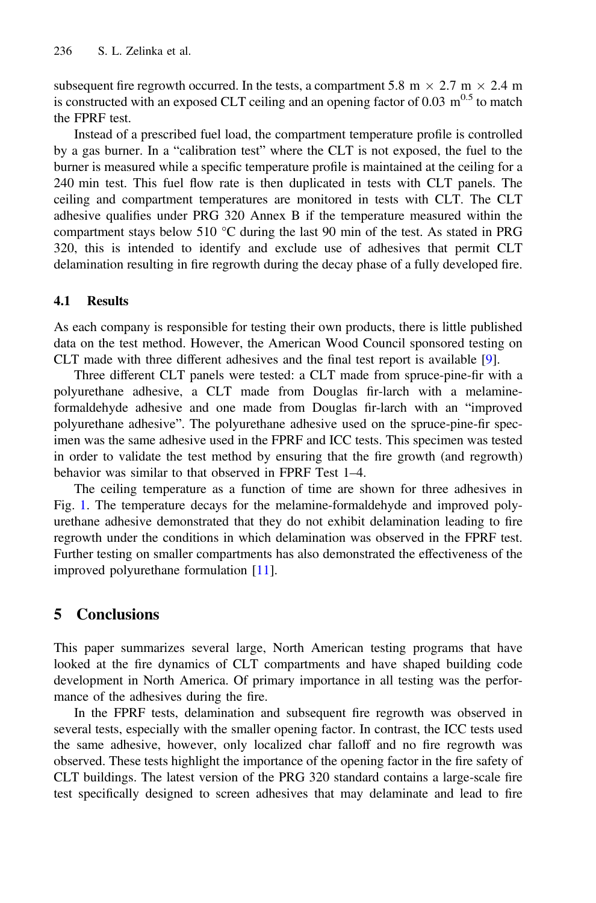subsequent fire regrowth occurred. In the tests, a compartment 5.8 m  $\times$  2.7 m  $\times$  2.4 m is constructed with an exposed CLT ceiling and an opening factor of  $0.03 \text{ m}^{0.5}$  to match the FPRF test.

Instead of a prescribed fuel load, the compartment temperature profile is controlled by a gas burner. In a "calibration test" where the CLT is not exposed, the fuel to the burner is measured while a specific temperature profile is maintained at the ceiling for a 240 min test. This fuel flow rate is then duplicated in tests with CLT panels. The ceiling and compartment temperatures are monitored in tests with CLT. The CLT adhesive qualifies under PRG 320 Annex B if the temperature measured within the compartment stays below 510 °C during the last 90 min of the test. As stated in PRG 320, this is intended to identify and exclude use of adhesives that permit CLT delamination resulting in fire regrowth during the decay phase of a fully developed fire.

#### 4.1 Results

As each company is responsible for testing their own products, there is little published data on the test method. However, the American Wood Council sponsored testing on CLT made with three different adhesives and the final test report is available [\[9](#page-5-0)].

Three different CLT panels were tested: a CLT made from spruce-pine-fir with a polyurethane adhesive, a CLT made from Douglas fir-larch with a melamineformaldehyde adhesive and one made from Douglas fir-larch with an "improved polyurethane adhesive". The polyurethane adhesive used on the spruce-pine-fir specimen was the same adhesive used in the FPRF and ICC tests. This specimen was tested in order to validate the test method by ensuring that the fire growth (and regrowth) behavior was similar to that observed in FPRF Test 1–4.

The ceiling temperature as a function of time are shown for three adhesives in Fig. [1.](#page-2-0) The temperature decays for the melamine-formaldehyde and improved polyurethane adhesive demonstrated that they do not exhibit delamination leading to fire regrowth under the conditions in which delamination was observed in the FPRF test. Further testing on smaller compartments has also demonstrated the effectiveness of the improved polyurethane formulation [\[11](#page-5-0)].

## 5 Conclusions

This paper summarizes several large, North American testing programs that have looked at the fire dynamics of CLT compartments and have shaped building code development in North America. Of primary importance in all testing was the performance of the adhesives during the fire.

In the FPRF tests, delamination and subsequent fire regrowth was observed in several tests, especially with the smaller opening factor. In contrast, the ICC tests used the same adhesive, however, only localized char falloff and no fire regrowth was observed. These tests highlight the importance of the opening factor in the fire safety of CLT buildings. The latest version of the PRG 320 standard contains a large-scale fire test specifically designed to screen adhesives that may delaminate and lead to fire